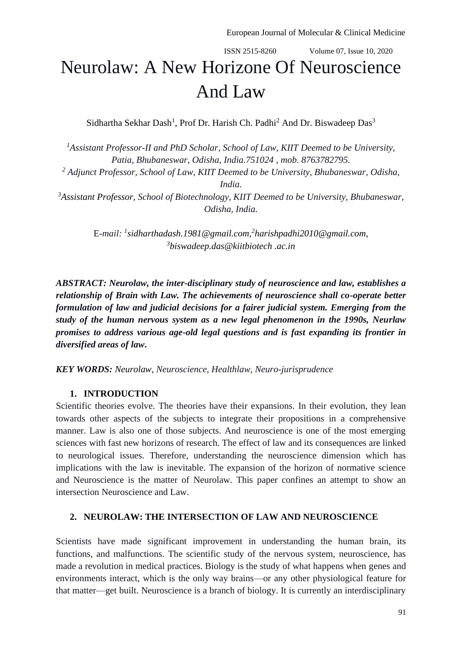# ISSN 2515-8260 Volume 07, Issue 10, 2020 Neurolaw: A New Horizone Of Neuroscience And Law

Sidhartha Sekhar Dash<sup>1</sup>, Prof Dr. Harish Ch. Padhi<sup>2</sup> And Dr. Biswadeep Das<sup>3</sup>

*<sup>1</sup>Assistant Professor-II and PhD Scholar, School of Law, KIIT Deemed to be University, Patia, Bhubaneswar, Odisha, India.751024 , mob. 8763782795.*

*<sup>2</sup> Adjunct Professor, School of Law, KIIT Deemed to be University, Bhubaneswar, Odisha,* 

*India.*

*<sup>3</sup>Assistant Professor, School of Biotechnology, KIIT Deemed to be University, Bhubaneswar, Odisha, India.*

> E*-mail: <sup>1</sup> [sidharthadash.1981@gmail.com,](mailto:sidharthadash.1981@gmail.com) 2 [harishpadhi2010@gmail.com,](mailto:harishpadhi2010@gmail.com) 3 [biswadeep.das@kiitbiotech](mailto:biswadeep.das@kiitbiotech) .ac.in*

*ABSTRACT: Neurolaw, the inter-disciplinary study of neuroscience and law, establishes a relationship of Brain with Law. The achievements of neuroscience shall co-operate better formulation of law and judicial decisions for a fairer judicial system. Emerging from the study of the human nervous system as a new legal phenomenon in the 1990s, Neurlaw promises to address various age-old legal questions and is fast expanding its frontier in diversified areas of law***.**

*KEY WORDS: Neurolaw, Neuroscience, Healthlaw, Neuro-jurisprudence*

## **1. INTRODUCTION**

Scientific theories evolve. The theories have their expansions. In their evolution, they lean towards other aspects of the subjects to integrate their propositions in a comprehensive manner. Law is also one of those subjects. And neuroscience is one of the most emerging sciences with fast new horizons of research. The effect of law and its consequences are linked to neurological issues. Therefore, understanding the neuroscience dimension which has implications with the law is inevitable. The expansion of the horizon of normative science and Neuroscience is the matter of Neurolaw. This paper confines an attempt to show an intersection Neuroscience and Law.

## **2. NEUROLAW: THE INTERSECTION OF LAW AND NEUROSCIENCE**

Scientists have made significant improvement in understanding the human brain, its functions, and malfunctions. The scientific study of the nervous system, neuroscience, has made a revolution in medical practices. Biology is the study of what happens when genes and environments interact, which is the only way brains—or any other physiological feature for that matter—get built. Neuroscience is a branch of biology. It is currently an interdisciplinary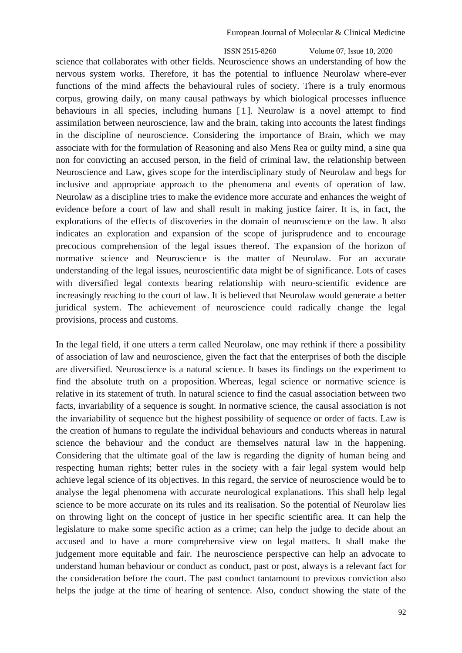ISSN 2515-8260 Volume 07, Issue 10, 2020 science that collaborates with other fields. Neuroscience shows an understanding of how the nervous system works. Therefore, it has the potential to influence Neurolaw where-ever functions of the mind affects the behavioural rules of society. There is a truly enormous corpus, growing daily, on many causal pathways by which biological processes influence behaviours in all species, including humans [1]. Neurolaw is a novel attempt to find assimilation between neuroscience, law and the brain, taking into accounts the latest findings in the discipline of neuroscience. Considering the importance of Brain, which we may associate with for the formulation of Reasoning and also Mens Rea or guilty mind, a sine qua non for convicting an accused person, in the field of criminal law, the relationship between Neuroscience and Law, gives scope for the interdisciplinary study of Neurolaw and begs for inclusive and appropriate approach to the phenomena and events of operation of law. Neurolaw as a discipline tries to make the evidence more accurate and enhances the weight of evidence before a court of law and shall result in making justice fairer. It is, in fact, the explorations of the effects of discoveries in the domain of neuroscience on the law. It also indicates an exploration and expansion of the scope of jurisprudence and to encourage precocious comprehension of the legal issues thereof. The expansion of the horizon of normative science and Neuroscience is the matter of Neurolaw. For an accurate understanding of the legal issues, neuroscientific data might be of significance. Lots of cases with diversified legal contexts bearing relationship with neuro-scientific evidence are increasingly reaching to the court of law. It is believed that Neurolaw would generate a better juridical system. The achievement of neuroscience could radically change the legal provisions, process and customs.

In the legal field, if one utters a term called Neurolaw, one may rethink if there a possibility of association of law and neuroscience, given the fact that the enterprises of both the disciple are diversified. Neuroscience is a natural science. It bases its findings on the experiment to find the absolute truth on a proposition. Whereas, legal science or normative science is relative in its statement of truth. In natural science to find the casual association between two facts, invariability of a sequence is sought. In normative science, the causal association is not the invariability of sequence but the highest possibility of sequence or order of facts. Law is the creation of humans to regulate the individual behaviours and conducts whereas in natural science the behaviour and the conduct are themselves natural law in the happening. Considering that the ultimate goal of the law is regarding the dignity of human being and respecting human rights; better rules in the society with a fair legal system would help achieve legal science of its objectives. In this regard, the service of neuroscience would be to analyse the legal phenomena with accurate neurological explanations. This shall help legal science to be more accurate on its rules and its realisation. So the potential of Neurolaw lies on throwing light on the concept of justice in her specific scientific area. It can help the legislature to make some specific action as a crime; can help the judge to decide about an accused and to have a more comprehensive view on legal matters. It shall make the judgement more equitable and fair. The neuroscience perspective can help an advocate to understand human behaviour or conduct as conduct, past or post, always is a relevant fact for the consideration before the court. The past conduct tantamount to previous conviction also helps the judge at the time of hearing of sentence. Also, conduct showing the state of the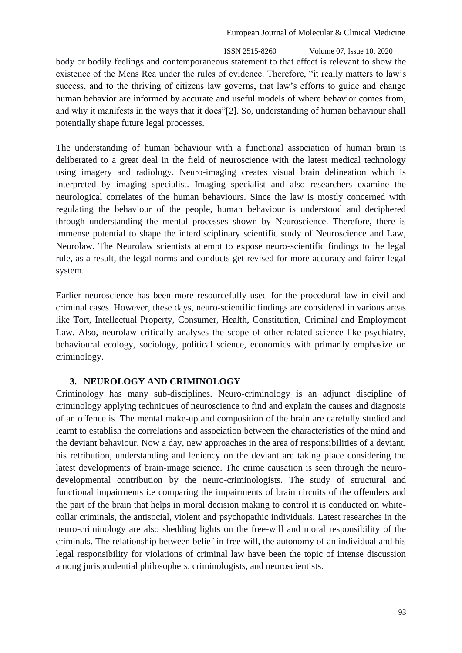ISSN 2515-8260 Volume 07, Issue 10, 2020 body or bodily feelings and contemporaneous statement to that effect is relevant to show the existence of the Mens Rea under the rules of evidence. Therefore, "it really matters to law's success, and to the thriving of citizens law governs, that law's efforts to guide and change human behavior are informed by accurate and useful models of where behavior comes from, and why it manifests in the ways that it does"[2]. So, understanding of human behaviour shall potentially shape future legal processes.

The understanding of human behaviour with a functional association of human brain is deliberated to a great deal in the field of neuroscience with the latest medical technology using imagery and radiology. Neuro-imaging creates visual brain delineation which is interpreted by imaging specialist. Imaging specialist and also researchers examine the neurological correlates of the human behaviours. Since the law is mostly concerned with regulating the behaviour of the people, human behaviour is understood and deciphered through understanding the mental processes shown by Neuroscience. Therefore, there is immense potential to shape the interdisciplinary scientific study of Neuroscience and Law, Neurolaw. The Neurolaw scientists attempt to expose neuro-scientific findings to the legal rule, as a result, the legal norms and conducts get revised for more accuracy and fairer legal system.

Earlier neuroscience has been more resourcefully used for the procedural law in civil and criminal cases. However, these days, neuro-scientific findings are considered in various areas like Tort, Intellectual Property, Consumer, Health, Constitution, Criminal and Employment Law. Also, neurolaw critically analyses the scope of other related science like psychiatry, behavioural ecology, sociology, political science, economics with primarily emphasize on criminology.

## **3. NEUROLOGY AND CRIMINOLOGY**

Criminology has many sub-disciplines. Neuro-criminology is an adjunct discipline of criminology applying techniques of neuroscience to find and explain the causes and diagnosis of an offence is. The mental make-up and composition of the brain are carefully studied and learnt to establish the correlations and association between the characteristics of the mind and the deviant behaviour. Now a day, new approaches in the area of responsibilities of a deviant, his retribution, understanding and leniency on the deviant are taking place considering the latest developments of brain-image science. The crime causation is seen through the neurodevelopmental contribution by the neuro-criminologists. The study of structural and functional impairments i.e comparing the impairments of brain circuits of the offenders and the part of the brain that helps in moral decision making to control it is conducted on whitecollar criminals, the antisocial, violent and psychopathic individuals. Latest researches in the neuro-criminology are also shedding lights on the free-will and moral responsibility of the criminals. The relationship between belief in free will, the autonomy of an individual and his legal responsibility for violations of criminal law have been the topic of intense discussion among jurisprudential philosophers, criminologists, and neuroscientists.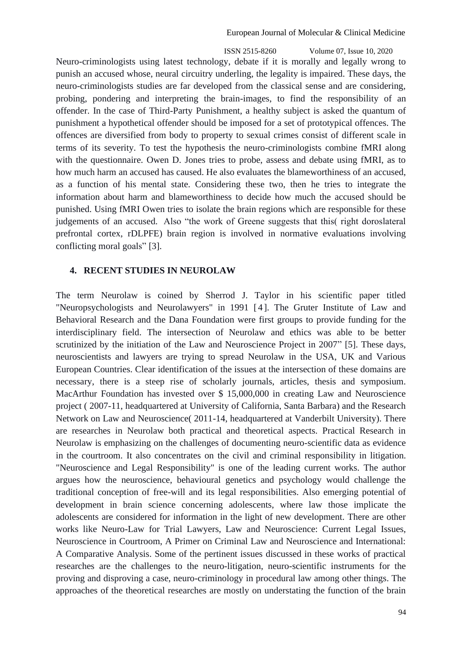ISSN 2515-8260 Volume 07, Issue 10, 2020 Neuro-criminologists using latest technology, debate if it is morally and legally wrong to punish an accused whose, neural circuitry underling, the legality is impaired. These days, the neuro-criminologists studies are far developed from the classical sense and are considering, probing, pondering and interpreting the brain-images, to find the responsibility of an offender. In the case of Third-Party Punishment, a healthy subject is asked the quantum of punishment a hypothetical offender should be imposed for a set of prototypical offences. The offences are diversified from body to property to sexual crimes consist of different scale in terms of its severity. To test the hypothesis the neuro-criminologists combine fMRI along with the questionnaire. Owen D. Jones tries to probe, assess and debate using fMRI, as to how much harm an accused has caused. He also evaluates the blameworthiness of an accused, as a function of his mental state. Considering these two, then he tries to integrate the information about harm and blameworthiness to decide how much the accused should be punished. Using fMRI Owen tries to isolate the brain regions which are responsible for these judgements of an accused. Also "the work of Greene suggests that this( right doroslateral prefrontal cortex, rDLPFE) brain region is involved in normative evaluations involving conflicting moral goals" [3].

#### **4. RECENT STUDIES IN NEUROLAW**

The term Neurolaw is coined by Sherrod J. Taylor in his scientific paper titled "Neuropsychologists and Neurolawyers" in 1991 [ 4 ]. The Gruter Institute of Law and Behavioral Research and the Dana Foundation were first groups to provide funding for the interdisciplinary field. The intersection of Neurolaw and ethics was able to be better scrutinized by the initiation of the Law and Neuroscience Project in 2007" [5]. These days, neuroscientists and lawyers are trying to spread Neurolaw in the USA, UK and Various European Countries. Clear identification of the issues at the intersection of these domains are necessary, there is a steep rise of scholarly journals, articles, thesis and symposium. MacArthur Foundation has invested over \$ 15,000,000 in creating Law and Neuroscience project ( 2007-11, headquartered at University of California, Santa Barbara) and the Research Network on Law and Neuroscience( 2011-14, headquartered at Vanderbilt University). There are researches in Neurolaw both practical and theoretical aspects. Practical Research in Neurolaw is emphasizing on the challenges of documenting neuro-scientific data as evidence in the courtroom. It also concentrates on the civil and criminal responsibility in litigation. "Neuroscience and Legal Responsibility" is one of the leading current works. The author argues how the neuroscience, behavioural genetics and psychology would challenge the traditional conception of free-will and its legal responsibilities. Also emerging potential of development in brain science concerning adolescents, where law those implicate the adolescents are considered for information in the light of new development. There are other works like Neuro-Law for Trial Lawyers, Law and Neuroscience: Current Legal Issues, Neuroscience in Courtroom, A Primer on Criminal Law and Neuroscience and International: A Comparative Analysis. Some of the pertinent issues discussed in these works of practical researches are the challenges to the neuro-litigation, neuro-scientific instruments for the proving and disproving a case, neuro-criminology in procedural law among other things. The approaches of the theoretical researches are mostly on understating the function of the brain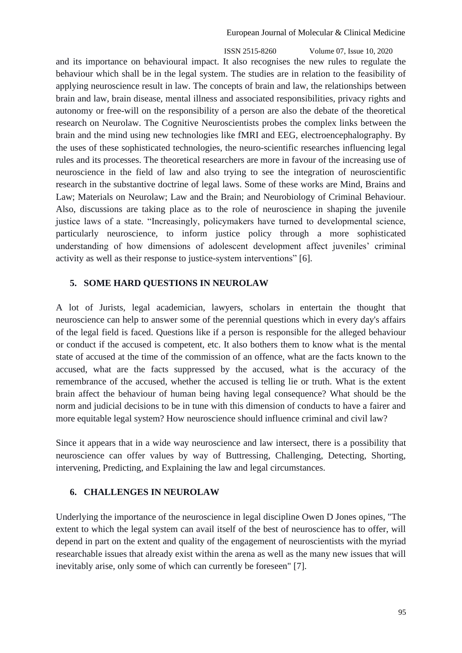ISSN 2515-8260 Volume 07, Issue 10, 2020 and its importance on behavioural impact. It also recognises the new rules to regulate the behaviour which shall be in the legal system. The studies are in relation to the feasibility of applying neuroscience result in law. The concepts of brain and law, the relationships between brain and law, brain disease, mental illness and associated responsibilities, privacy rights and autonomy or free-will on the responsibility of a person are also the debate of the theoretical research on Neurolaw. The Cognitive Neuroscientists probes the complex links between the brain and the mind using new technologies like fMRI and EEG, electroencephalography. By the uses of these sophisticated technologies, the neuro-scientific researches influencing legal rules and its processes. The theoretical researchers are more in favour of the increasing use of neuroscience in the field of law and also trying to see the integration of neuroscientific research in the substantive doctrine of legal laws. Some of these works are Mind, Brains and Law; Materials on Neurolaw; Law and the Brain; and Neurobiology of Criminal Behaviour. Also, discussions are taking place as to the role of neuroscience in shaping the juvenile justice laws of a state. "Increasingly, policymakers have turned to developmental science, particularly neuroscience, to inform justice policy through a more sophisticated understanding of how dimensions of adolescent development affect juveniles' criminal activity as well as their response to justice-system interventions" [6].

## **5. SOME HARD QUESTIONS IN NEUROLAW**

A lot of Jurists, legal academician, lawyers, scholars in entertain the thought that neuroscience can help to answer some of the perennial questions which in every day's affairs of the legal field is faced. Questions like if a person is responsible for the alleged behaviour or conduct if the accused is competent, etc. It also bothers them to know what is the mental state of accused at the time of the commission of an offence, what are the facts known to the accused, what are the facts suppressed by the accused, what is the accuracy of the remembrance of the accused, whether the accused is telling lie or truth. What is the extent brain affect the behaviour of human being having legal consequence? What should be the norm and judicial decisions to be in tune with this dimension of conducts to have a fairer and more equitable legal system? How neuroscience should influence criminal and civil law?

Since it appears that in a wide way neuroscience and law intersect, there is a possibility that neuroscience can offer values by way of Buttressing, Challenging, Detecting, Shorting, intervening, Predicting, and Explaining the law and legal circumstances.

## **6. CHALLENGES IN NEUROLAW**

Underlying the importance of the neuroscience in legal discipline Owen D Jones opines, "The extent to which the legal system can avail itself of the best of neuroscience has to offer, will depend in part on the extent and quality of the engagement of neuroscientists with the myriad researchable issues that already exist within the arena as well as the many new issues that will inevitably arise, only some of which can currently be foreseen" [7].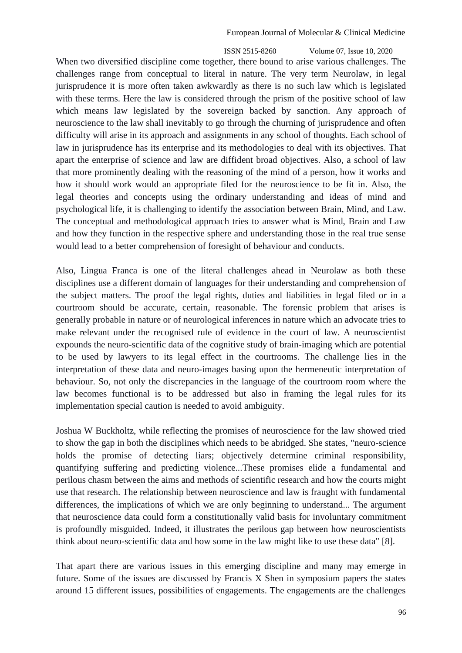ISSN 2515-8260 Volume 07, Issue 10, 2020 When two diversified discipline come together, there bound to arise various challenges. The challenges range from conceptual to literal in nature. The very term Neurolaw, in legal jurisprudence it is more often taken awkwardly as there is no such law which is legislated with these terms. Here the law is considered through the prism of the positive school of law which means law legislated by the sovereign backed by sanction. Any approach of neuroscience to the law shall inevitably to go through the churning of jurisprudence and often difficulty will arise in its approach and assignments in any school of thoughts. Each school of law in jurisprudence has its enterprise and its methodologies to deal with its objectives. That apart the enterprise of science and law are diffident broad objectives. Also, a school of law that more prominently dealing with the reasoning of the mind of a person, how it works and how it should work would an appropriate filed for the neuroscience to be fit in. Also, the legal theories and concepts using the ordinary understanding and ideas of mind and psychological life, it is challenging to identify the association between Brain, Mind, and Law. The conceptual and methodological approach tries to answer what is Mind, Brain and Law and how they function in the respective sphere and understanding those in the real true sense would lead to a better comprehension of foresight of behaviour and conducts.

Also, Lingua Franca is one of the literal challenges ahead in Neurolaw as both these disciplines use a different domain of languages for their understanding and comprehension of the subject matters. The proof the legal rights, duties and liabilities in legal filed or in a courtroom should be accurate, certain, reasonable. The forensic problem that arises is generally probable in nature or of neurological inferences in nature which an advocate tries to make relevant under the recognised rule of evidence in the court of law. A neuroscientist expounds the neuro-scientific data of the cognitive study of brain-imaging which are potential to be used by lawyers to its legal effect in the courtrooms. The challenge lies in the interpretation of these data and neuro-images basing upon the hermeneutic interpretation of behaviour. So, not only the discrepancies in the language of the courtroom room where the law becomes functional is to be addressed but also in framing the legal rules for its implementation special caution is needed to avoid ambiguity.

Joshua W Buckholtz, while reflecting the promises of neuroscience for the law showed tried to show the gap in both the disciplines which needs to be abridged. She states, "neuro-science holds the promise of detecting liars; objectively determine criminal responsibility, quantifying suffering and predicting violence...These promises elide a fundamental and perilous chasm between the aims and methods of scientific research and how the courts might use that research. The relationship between neuroscience and law is fraught with fundamental differences, the implications of which we are only beginning to understand... The argument that neuroscience data could form a constitutionally valid basis for involuntary commitment is profoundly misguided. Indeed, it illustrates the perilous gap between how neuroscientists think about neuro-scientific data and how some in the law might like to use these data" [8].

That apart there are various issues in this emerging discipline and many may emerge in future. Some of the issues are discussed by Francis X Shen in symposium papers the states around 15 different issues, possibilities of engagements. The engagements are the challenges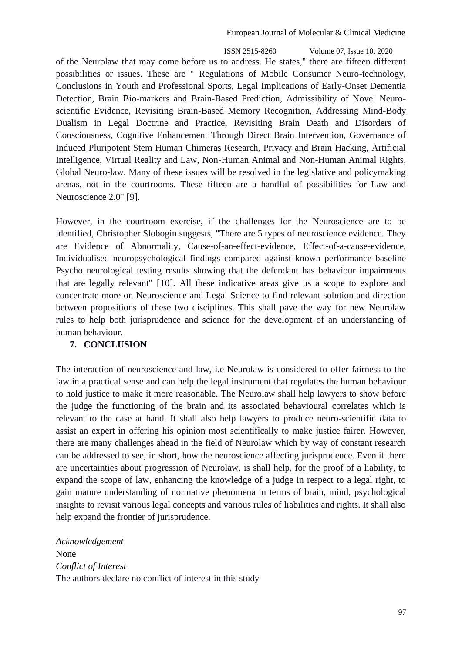ISSN 2515-8260 Volume 07, Issue 10, 2020 of the Neurolaw that may come before us to address. He states," there are fifteen different possibilities or issues. These are " Regulations of Mobile Consumer Neuro-technology, Conclusions in Youth and Professional Sports, Legal Implications of Early-Onset Dementia Detection, Brain Bio-markers and Brain-Based Prediction, Admissibility of Novel Neuroscientific Evidence, Revisiting Brain-Based Memory Recognition, Addressing Mind-Body Dualism in Legal Doctrine and Practice, Revisiting Brain Death and Disorders of Consciousness, Cognitive Enhancement Through Direct Brain Intervention, Governance of Induced Pluripotent Stem Human Chimeras Research, Privacy and Brain Hacking, Artificial Intelligence, Virtual Reality and Law, Non-Human Animal and Non-Human Animal Rights, Global Neuro-law. Many of these issues will be resolved in the legislative and policymaking arenas, not in the courtrooms. These fifteen are a handful of possibilities for Law and Neuroscience 2.0" [9].

However, in the courtroom exercise, if the challenges for the Neuroscience are to be identified, Christopher Slobogin suggests, "There are 5 types of neuroscience evidence. They are Evidence of Abnormality, Cause-of-an-effect-evidence, Effect-of-a-cause-evidence, Individualised neuropsychological findings compared against known performance baseline Psycho neurological testing results showing that the defendant has behaviour impairments that are legally relevant" [10]. All these indicative areas give us a scope to explore and concentrate more on Neuroscience and Legal Science to find relevant solution and direction between propositions of these two disciplines. This shall pave the way for new Neurolaw rules to help both jurisprudence and science for the development of an understanding of human behaviour.

## **7. CONCLUSION**

The interaction of neuroscience and law, i.e Neurolaw is considered to offer fairness to the law in a practical sense and can help the legal instrument that regulates the human behaviour to hold justice to make it more reasonable. The Neurolaw shall help lawyers to show before the judge the functioning of the brain and its associated behavioural correlates which is relevant to the case at hand. It shall also help lawyers to produce neuro-scientific data to assist an expert in offering his opinion most scientifically to make justice fairer. However, there are many challenges ahead in the field of Neurolaw which by way of constant research can be addressed to see, in short, how the neuroscience affecting jurisprudence. Even if there are uncertainties about progression of Neurolaw, is shall help, for the proof of a liability, to expand the scope of law, enhancing the knowledge of a judge in respect to a legal right, to gain mature understanding of normative phenomena in terms of brain, mind, psychological insights to revisit various legal concepts and various rules of liabilities and rights. It shall also help expand the frontier of jurisprudence.

*Acknowledgement* None *Conflict of Interest* The authors declare no conflict of interest in this study